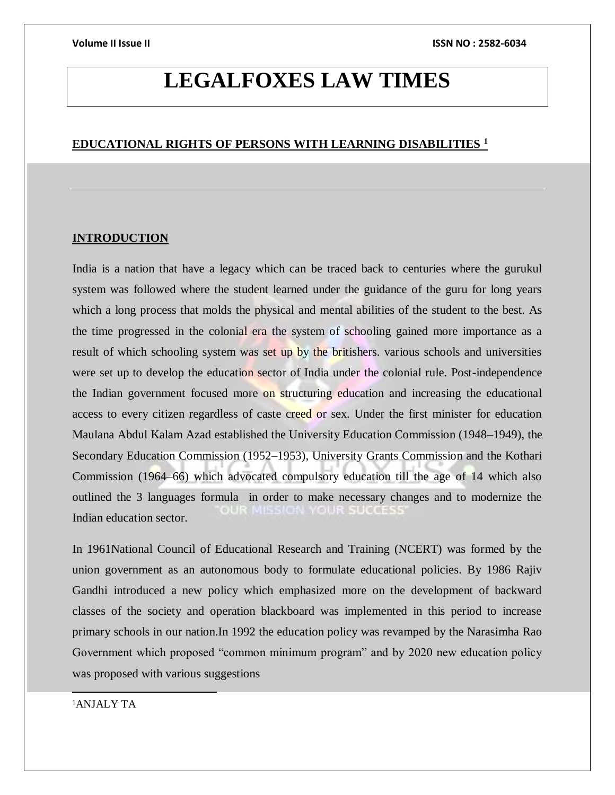## **LEGALFOXES LAW TIMES**

### **EDUCATIONAL RIGHTS OF PERSONS WITH LEARNING DISABILITIES <sup>1</sup>**

### **INTRODUCTION**

India is a nation that have a legacy which can be traced back to centuries where the gurukul system was followed where the student learned under the guidance of the guru for long years which a long process that molds the physical and mental abilities of the student to the best. As the time progressed in the colonial era the system of schooling gained more importance as a result of which schooling system was set up by the britishers. various schools and universities were set up to develop the education sector of India under the colonial rule. Post-independence the Indian government focused more on structuring education and increasing the educational access to every citizen regardless of caste creed or sex. Under the first minister for education Maulana Abdul Kalam Azad established the University Education Commission (1948–1949), the Secondary Education Commission (1952–1953), University Grants Commission and the Kothari Commission (1964–66) which advocated compulsory education till the age of 14 which also outlined the 3 languages formula in order to make necessary changes and to modernize the Indian education sector.

In 1961National Council of Educational Research and Training (NCERT) was formed by the union government as an autonomous body to formulate educational policies. By 1986 Rajiv Gandhi introduced a new policy which emphasized more on the development of backward classes of the society and operation blackboard was implemented in this period to increase primary schools in our nation.In 1992 the education policy was revamped by the Narasimha Rao Government which proposed "common minimum program" and by 2020 new education policy was proposed with various suggestions

<sup>1</sup>ANJALY TA

 $\overline{\phantom{a}}$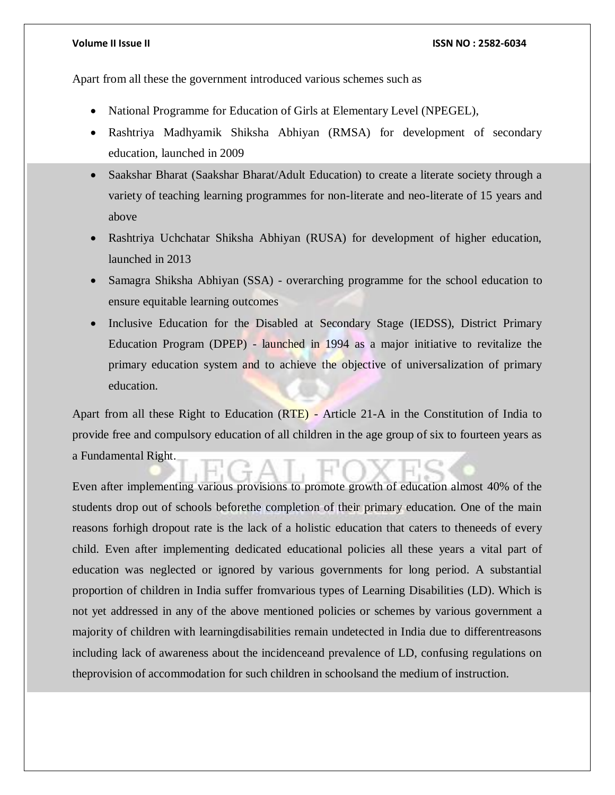Apart from all these the government introduced various schemes such as

- National Programme for Education of Girls at Elementary Level (NPEGEL),
- Rashtriya Madhyamik Shiksha Abhiyan (RMSA) for development of secondary education, launched in 2009
- Saakshar Bharat (Saakshar Bharat/Adult Education) to create a literate society through a variety of teaching learning programmes for non-literate and neo-literate of 15 years and above
- Rashtriya Uchchatar Shiksha Abhiyan (RUSA) for development of higher education, launched in 2013
- Samagra Shiksha Abhiyan (SSA) overarching programme for the school education to ensure equitable learning outcomes
- Inclusive Education for the Disabled at Secondary Stage (IEDSS), District Primary Education Program (DPEP) - launched in 1994 as a major initiative to revitalize the primary education system and to achieve the objective of universalization of primary education.

Apart from all these Right to Education (RTE) - Article 21-A in the Constitution of India to provide free and compulsory education of all children in the age group of six to fourteen years as a Fundamental Right.

Even after implementing various provisions to promote growth of education almost 40% of the students drop out of schools beforethe completion of their primary education. One of the main reasons forhigh dropout rate is the lack of a holistic education that caters to theneeds of every child. Even after implementing dedicated educational policies all these years a vital part of education was neglected or ignored by various governments for long period. A substantial proportion of children in India suffer fromvarious types of Learning Disabilities (LD). Which is not yet addressed in any of the above mentioned policies or schemes by various government a majority of children with learningdisabilities remain undetected in India due to differentreasons including lack of awareness about the incidenceand prevalence of LD, confusing regulations on theprovision of accommodation for such children in schoolsand the medium of instruction.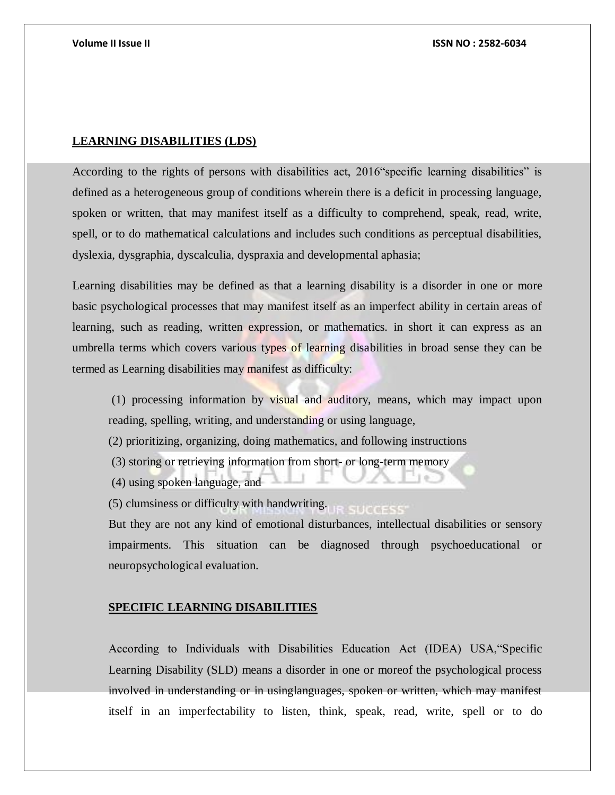### **LEARNING DISABILITIES (LDS)**

According to the rights of persons with disabilities act, 2016"specific learning disabilities" is defined as a heterogeneous group of conditions wherein there is a deficit in processing language, spoken or written, that may manifest itself as a difficulty to comprehend, speak, read, write, spell, or to do mathematical calculations and includes such conditions as perceptual disabilities, dyslexia, dysgraphia, dyscalculia, dyspraxia and developmental aphasia;

Learning disabilities may be defined as that a learning disability is a disorder in one or more basic psychological processes that may manifest itself as an imperfect ability in certain areas of learning, such as reading, written expression, or mathematics. in short it can express as an umbrella terms which covers various types of learning disabilities in broad sense they can be termed as Learning disabilities may manifest as difficulty:

(1) processing information by visual and auditory, means, which may impact upon reading, spelling, writing, and understanding or using language,

(2) prioritizing, organizing, doing mathematics, and following instructions

- (3) storing or retrieving information from short- or long-term memory
- (4) using spoken language, and

(5) clumsiness or difficulty with handwriting.

But they are not any kind of emotional disturbances, intellectual disabilities or sensory impairments. This situation can be diagnosed through psychoeducational or neuropsychological evaluation.

### **SPECIFIC LEARNING DISABILITIES**

According to Individuals with Disabilities Education Act (IDEA) USA,"Specific Learning Disability (SLD) means a disorder in one or moreof the psychological process involved in understanding or in usinglanguages, spoken or written, which may manifest itself in an imperfectability to listen, think, speak, read, write, spell or to do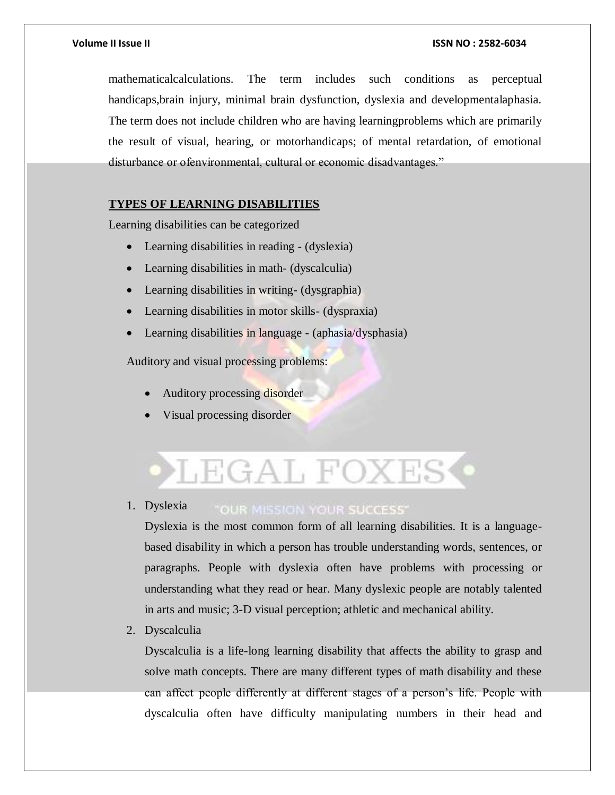mathematicalcalculations. The term includes such conditions as perceptual handicaps,brain injury, minimal brain dysfunction, dyslexia and developmentalaphasia. The term does not include children who are having learningproblems which are primarily the result of visual, hearing, or motorhandicaps; of mental retardation, of emotional disturbance or ofenvironmental, cultural or economic disadvantages."

### **TYPES OF LEARNING DISABILITIES**

Learning disabilities can be categorized

- Learning disabilities in reading (dyslexia)
- Learning disabilities in math- (dyscalculia)
- Learning disabilities in writing- (dysgraphia)
- Learning disabilities in motor skills- (dyspraxia)
- Learning disabilities in language (aphasia/dysphasia)

Auditory and visual processing problems:

- Auditory processing disorder
- Visual processing disorder

# LEGAL FOXES

1. Dyslexia

### "OUR MISSION YOUR SUCCESS"

Dyslexia is the most common form of all learning disabilities. It is a languagebased disability in which a person has trouble understanding words, sentences, or paragraphs. People with dyslexia often have problems with processing or understanding what they read or hear. Many dyslexic people are notably talented in arts and music; 3-D visual perception; athletic and mechanical ability.

2. Dyscalculia

Dyscalculia is a life-long learning disability that affects the ability to grasp and solve math concepts. There are many different types of math disability and these can affect people differently at different stages of a person's life. People with dyscalculia often have difficulty manipulating numbers in their head and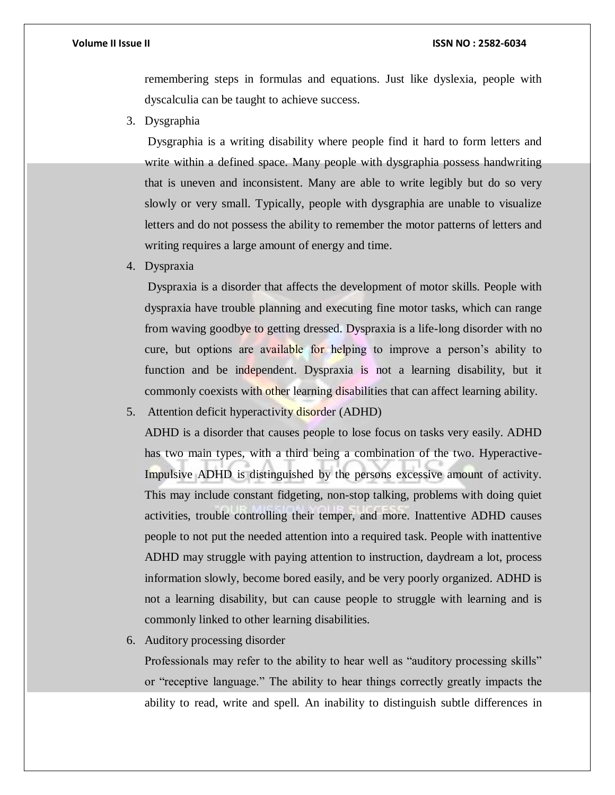remembering steps in formulas and equations. Just like dyslexia, people with dyscalculia can be taught to achieve success.

3. Dysgraphia

Dysgraphia is a writing disability where people find it hard to form letters and write within a defined space. Many people with dysgraphia possess handwriting that is uneven and inconsistent. Many are able to write legibly but do so very slowly or very small. Typically, people with dysgraphia are unable to visualize letters and do not possess the ability to remember the motor patterns of letters and writing requires a large amount of energy and time.

4. Dyspraxia

Dyspraxia is a disorder that affects the development of motor skills. People with dyspraxia have trouble planning and executing fine motor tasks, which can range from waving goodbye to getting dressed. Dyspraxia is a life-long disorder with no cure, but options are available for helping to improve a person's ability to function and be independent. Dyspraxia is not a learning disability, but it commonly coexists with other learning disabilities that can affect learning ability.

5. Attention deficit hyperactivity disorder (ADHD)

ADHD is a disorder that causes people to lose focus on tasks very easily. ADHD has two main types, with a third being a combination of the two. Hyperactive-Impulsive ADHD is distinguished by the persons excessive amount of activity. This may include constant fidgeting, non-stop talking, problems with doing quiet activities, trouble controlling their temper, and more. Inattentive ADHD causes people to not put the needed attention into a required task. People with inattentive ADHD may struggle with paying attention to instruction, daydream a lot, process information slowly, become bored easily, and be very poorly organized. ADHD is not a learning disability, but can cause people to struggle with learning and is commonly linked to other learning disabilities.

6. Auditory processing disorder

Professionals may refer to the ability to hear well as "auditory processing skills" or "receptive language." The ability to hear things correctly greatly impacts the ability to read, write and spell. An inability to distinguish subtle differences in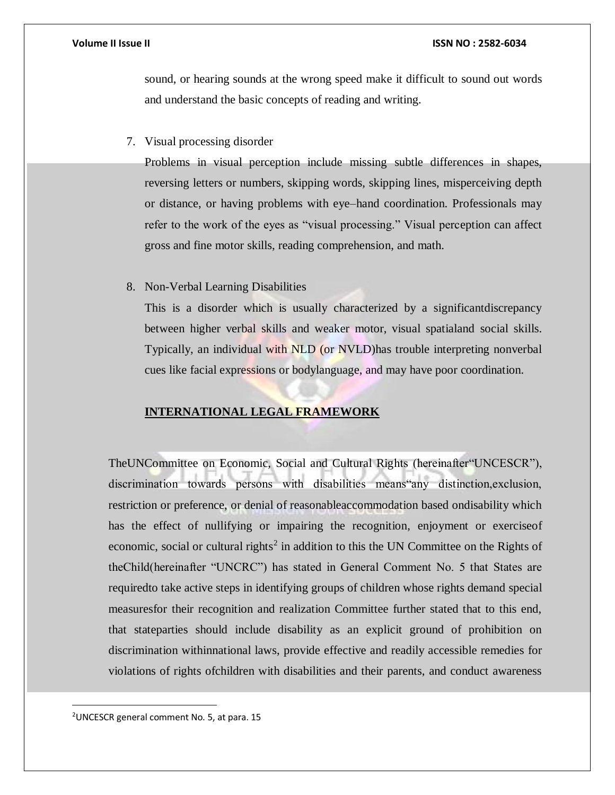sound, or hearing sounds at the wrong speed make it difficult to sound out words and understand the basic concepts of reading and writing.

7. Visual processing disorder

Problems in visual perception include missing subtle differences in shapes, reversing letters or numbers, skipping words, skipping lines, misperceiving depth or distance, or having problems with eye–hand coordination. Professionals may refer to the work of the eyes as "visual processing." Visual perception can affect gross and fine motor skills, reading comprehension, and math.

8. Non-Verbal Learning Disabilities

This is a disorder which is usually characterized by a significantdiscrepancy between higher verbal skills and weaker motor, visual spatialand social skills. Typically, an individual with NLD (or NVLD)has trouble interpreting nonverbal cues like facial expressions or bodylanguage, and may have poor coordination.

### **INTERNATIONAL LEGAL FRAMEWORK**

TheUNCommittee on Economic, Social and Cultural Rights (hereinafter"UNCESCR"), discrimination towards persons with disabilities means"any distinction,exclusion, restriction or preference, or denial of reasonableaccommodation based ondisability which has the effect of nullifying or impairing the recognition, enjoyment or exerciseof economic, social or cultural rights<sup>2</sup> in addition to this the UN Committee on the Rights of theChild(hereinafter "UNCRC") has stated in General Comment No. 5 that States are requiredto take active steps in identifying groups of children whose rights demand special measuresfor their recognition and realization Committee further stated that to this end, that stateparties should include disability as an explicit ground of prohibition on discrimination withinnational laws, provide effective and readily accessible remedies for violations of rights ofchildren with disabilities and their parents, and conduct awareness

<sup>2</sup>UNCESCR general comment No. 5, at para. 15

 $\overline{a}$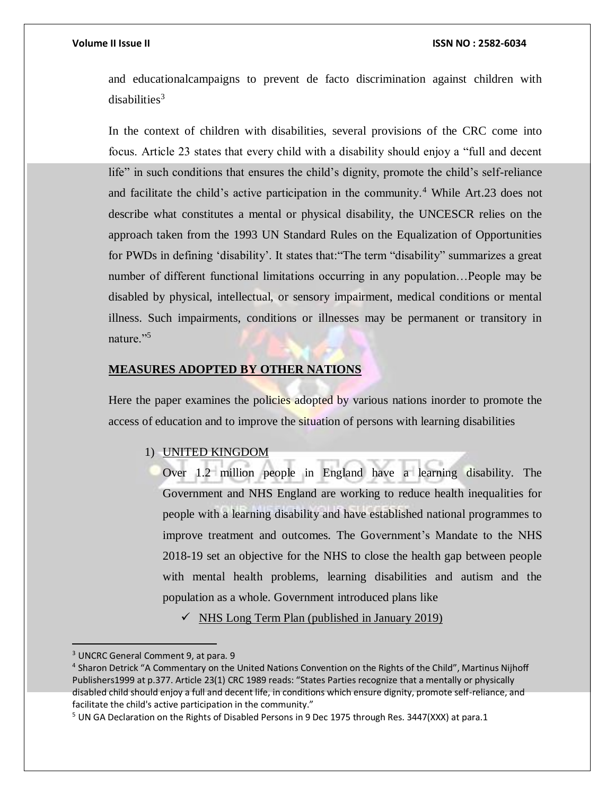and educationalcampaigns to prevent de facto discrimination against children with  $disabilities<sup>3</sup>$ 

In the context of children with disabilities, several provisions of the CRC come into focus. Article 23 states that every child with a disability should enjoy a "full and decent life" in such conditions that ensures the child's dignity, promote the child's self-reliance and facilitate the child's active participation in the community.<sup>4</sup> While Art.23 does not describe what constitutes a mental or physical disability, the UNCESCR relies on the approach taken from the 1993 UN Standard Rules on the Equalization of Opportunities for PWDs in defining 'disability'. It states that:"The term "disability" summarizes a great number of different functional limitations occurring in any population…People may be disabled by physical, intellectual, or sensory impairment, medical conditions or mental illness. Such impairments, conditions or illnesses may be permanent or transitory in nature."<sup>5</sup>

### **MEASURES ADOPTED BY OTHER NATIONS**

Here the paper examines the policies adopted by various nations inorder to promote the access of education and to improve the situation of persons with learning disabilities

#### 1) UNITED KINGDOM

Over 1.2 million people in England have a learning disability. The Government and NHS England are working to reduce health inequalities for people with a learning disability and have established national programmes to improve treatment and outcomes. The Government's Mandate to the NHS 2018-19 set an objective for the NHS to close the health gap between people with mental health problems, learning disabilities and autism and the population as a whole. Government introduced plans like

 $\checkmark$  NHS Long Term Plan (published in January 2019)

 $\overline{a}$ 

<sup>&</sup>lt;sup>3</sup> UNCRC General Comment 9, at para. 9

<sup>&</sup>lt;sup>4</sup> Sharon Detrick "A Commentary on the United Nations Convention on the Rights of the Child", Martinus Nijhoff Publishers1999 at p.377. Article 23(1) CRC 1989 reads: "States Parties recognize that a mentally or physically disabled child should enjoy a full and decent life, in conditions which ensure dignity, promote self-reliance, and facilitate the child's active participation in the community."

<sup>&</sup>lt;sup>5</sup> UN GA Declaration on the Rights of Disabled Persons in 9 Dec 1975 through Res. 3447(XXX) at para.1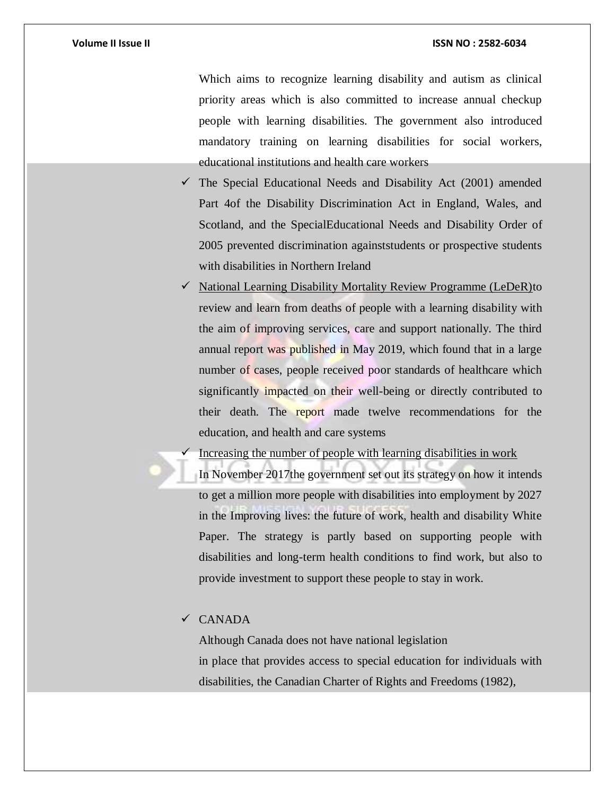Which aims to recognize learning disability and autism as clinical priority areas which is also committed to increase annual checkup people with learning disabilities. The government also introduced mandatory training on learning disabilities for social workers, educational institutions and health care workers

- $\checkmark$  The Special Educational Needs and Disability Act (2001) amended Part 4of the Disability Discrimination Act in England, Wales, and Scotland, and the SpecialEducational Needs and Disability Order of 2005 prevented discrimination againststudents or prospective students with disabilities in Northern Ireland
- $\checkmark$  National Learning Disability Mortality Review Programme (LeDeR)to review and learn from deaths of people with a learning disability with the aim of improving services, care and support nationally. The third annual report was published in May 2019, which found that in a large number of cases, people received poor standards of healthcare which significantly impacted on their well-being or directly contributed to their death. The report made twelve recommendations for the education, and health and care systems

Increasing the number of people with learning disabilities in work

In November 2017the government set out its strategy on how it intends to get a million more people with disabilities into employment by 2027 in the Improving lives: the future of work, health and disability White Paper. The strategy is partly based on supporting people with disabilities and long-term health conditions to find work, but also to provide investment to support these people to stay in work.

### CANADA

Although Canada does not have national legislation in place that provides access to special education for individuals with disabilities, the Canadian Charter of Rights and Freedoms (1982),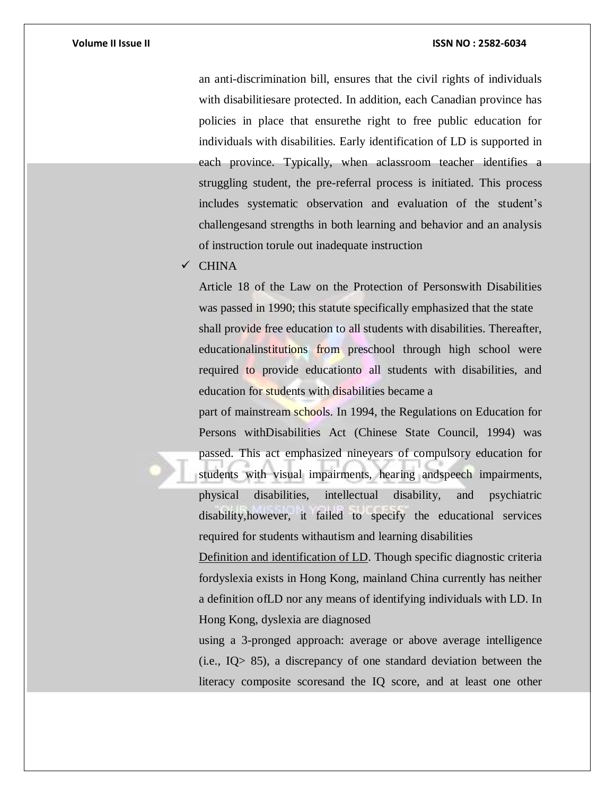an anti-discrimination bill, ensures that the civil rights of individuals with disabilitiesare protected. In addition, each Canadian province has policies in place that ensurethe right to free public education for individuals with disabilities. Early identification of LD is supported in each province. Typically, when aclassroom teacher identifies a struggling student, the pre-referral process is initiated. This process includes systematic observation and evaluation of the student's challengesand strengths in both learning and behavior and an analysis of instruction torule out inadequate instruction

 $\checkmark$  CHINA

Article 18 of the Law on the Protection of Personswith Disabilities was passed in 1990; this statute specifically emphasized that the state shall provide free education to all students with disabilities. Thereafter, educationalinstitutions from preschool through high school were required to provide educationto all students with disabilities, and education for students with disabilities became a

part of mainstream schools. In 1994, the Regulations on Education for Persons withDisabilities Act (Chinese State Council, 1994) was passed. This act emphasized nineyears of compulsory education for students with visual impairments, hearing and speech impairments, physical disabilities, intellectual disability, and psychiatric disability,however, it failed to specify the educational services required for students withautism and learning disabilities

Definition and identification of LD. Though specific diagnostic criteria fordyslexia exists in Hong Kong, mainland China currently has neither a definition ofLD nor any means of identifying individuals with LD. In Hong Kong, dyslexia are diagnosed

using a 3-pronged approach: average or above average intelligence (i.e., IQ> 85), a discrepancy of one standard deviation between the literacy composite scoresand the IQ score, and at least one other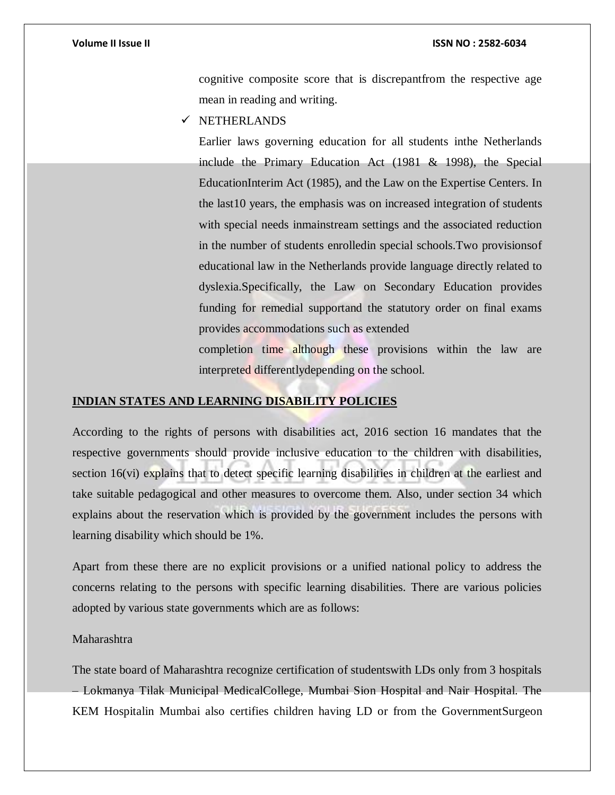cognitive composite score that is discrepantfrom the respective age mean in reading and writing.

 $\checkmark$  NETHERLANDS

Earlier laws governing education for all students inthe Netherlands include the Primary Education Act (1981 & 1998), the Special EducationInterim Act (1985), and the Law on the Expertise Centers. In the last10 years, the emphasis was on increased integration of students with special needs inmainstream settings and the associated reduction in the number of students enrolledin special schools.Two provisionsof educational law in the Netherlands provide language directly related to dyslexia.Specifically, the Law on Secondary Education provides funding for remedial supportand the statutory order on final exams provides accommodations such as extended

completion time although these provisions within the law are interpreted differentlydepending on the school.

### **INDIAN STATES AND LEARNING DISABILITY POLICIES**

According to the rights of persons with disabilities act, 2016 section 16 mandates that the respective governments should provide inclusive education to the children with disabilities, section 16(vi) explains that to detect specific learning disabilities in children at the earliest and take suitable pedagogical and other measures to overcome them. Also, under section 34 which explains about the reservation which is provided by the government includes the persons with learning disability which should be 1%.

Apart from these there are no explicit provisions or a unified national policy to address the concerns relating to the persons with specific learning disabilities. There are various policies adopted by various state governments which are as follows:

### Maharashtra

The state board of Maharashtra recognize certification of studentswith LDs only from 3 hospitals – Lokmanya Tilak Municipal MedicalCollege, Mumbai Sion Hospital and Nair Hospital. The KEM Hospitalin Mumbai also certifies children having LD or from the GovernmentSurgeon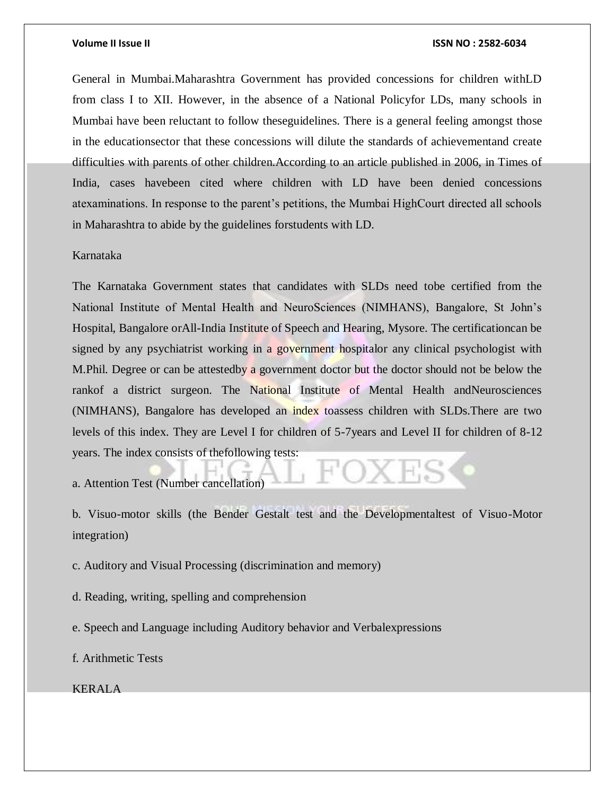General in Mumbai.Maharashtra Government has provided concessions for children withLD from class I to XII. However, in the absence of a National Policyfor LDs, many schools in Mumbai have been reluctant to follow theseguidelines. There is a general feeling amongst those in the educationsector that these concessions will dilute the standards of achievementand create difficulties with parents of other children.According to an article published in 2006, in Times of India, cases havebeen cited where children with LD have been denied concessions atexaminations. In response to the parent's petitions, the Mumbai HighCourt directed all schools in Maharashtra to abide by the guidelines forstudents with LD.

#### Karnataka

The Karnataka Government states that candidates with SLDs need tobe certified from the National Institute of Mental Health and NeuroSciences (NIMHANS), Bangalore, St John's Hospital, Bangalore orAll-India Institute of Speech and Hearing, Mysore. The certificationcan be signed by any psychiatrist working in a government hospitalor any clinical psychologist with M.Phil. Degree or can be attestedby a government doctor but the doctor should not be below the rankof a district surgeon. The National Institute of Mental Health andNeurosciences (NIMHANS), Bangalore has developed an index toassess children with SLDs.There are two levels of this index. They are Level I for children of 5-7years and Level II for children of 8-12 years. The index consists of thefollowing tests:

a. Attention Test (Number cancellation)

b. Visuo-motor skills (the Bender Gestalt test and the Developmentaltest of Visuo-Motor integration)

c. Auditory and Visual Processing (discrimination and memory)

d. Reading, writing, spelling and comprehension

e. Speech and Language including Auditory behavior and Verbalexpressions

f. Arithmetic Tests

KERALA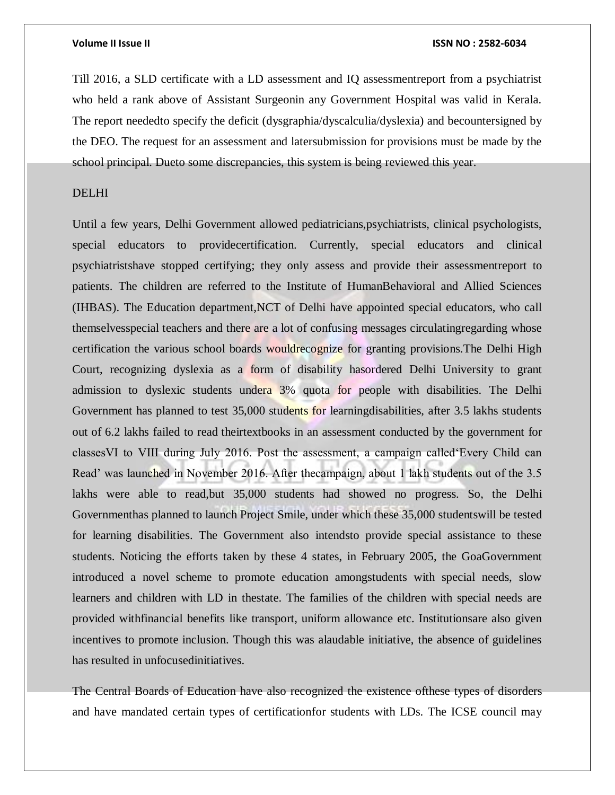Till 2016, a SLD certificate with a LD assessment and IQ assessmentreport from a psychiatrist who held a rank above of Assistant Surgeonin any Government Hospital was valid in Kerala. The report neededto specify the deficit (dysgraphia/dyscalculia/dyslexia) and becountersigned by the DEO. The request for an assessment and latersubmission for provisions must be made by the school principal. Dueto some discrepancies, this system is being reviewed this year.

### DELHI

Until a few years, Delhi Government allowed pediatricians,psychiatrists, clinical psychologists, special educators to providecertification. Currently, special educators and clinical psychiatristshave stopped certifying; they only assess and provide their assessmentreport to patients. The children are referred to the Institute of HumanBehavioral and Allied Sciences (IHBAS). The Education department,NCT of Delhi have appointed special educators, who call themselvesspecial teachers and there are a lot of confusing messages circulatingregarding whose certification the various school boards wouldrecognize for granting provisions.The Delhi High Court, recognizing dyslexia as a form of disability hasordered Delhi University to grant admission to dyslexic students undera 3% quota for people with disabilities. The Delhi Government has planned to test 35,000 students for learningdisabilities, after 3.5 lakhs students out of 6.2 lakhs failed to read theirtextbooks in an assessment conducted by the government for classesVI to VIII during July 2016. Post the assessment, a campaign called'Every Child can Read' was launched in November 2016. After thecampaign, about 1 lakh students out of the 3.5 lakhs were able to read,but 35,000 students had showed no progress. So, the Delhi Governmenthas planned to launch Project Smile, under which these 35,000 studentswill be tested for learning disabilities. The Government also intendsto provide special assistance to these students. Noticing the efforts taken by these 4 states, in February 2005, the GoaGovernment introduced a novel scheme to promote education amongstudents with special needs, slow learners and children with LD in thestate. The families of the children with special needs are provided withfinancial benefits like transport, uniform allowance etc. Institutionsare also given incentives to promote inclusion. Though this was alaudable initiative, the absence of guidelines has resulted in unfocusedinitiatives.

The Central Boards of Education have also recognized the existence ofthese types of disorders and have mandated certain types of certificationfor students with LDs. The ICSE council may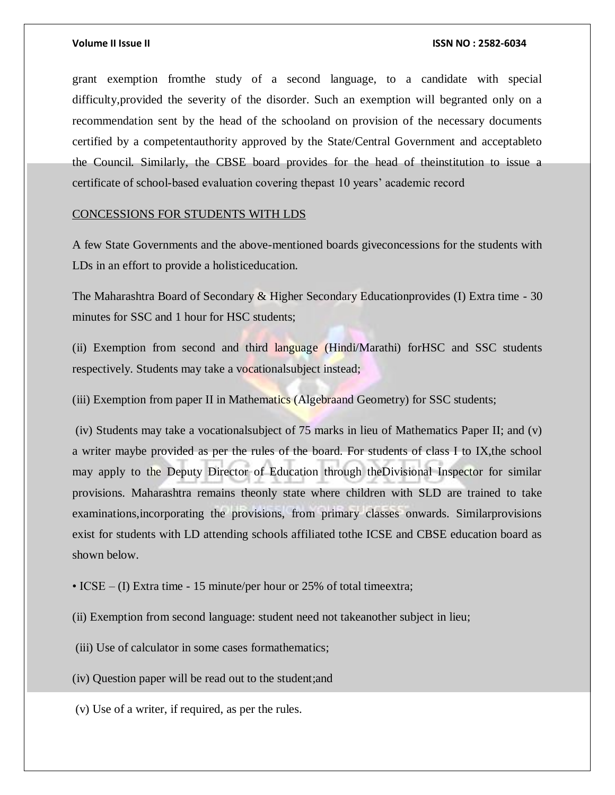grant exemption fromthe study of a second language, to a candidate with special difficulty,provided the severity of the disorder. Such an exemption will begranted only on a recommendation sent by the head of the schooland on provision of the necessary documents certified by a competentauthority approved by the State/Central Government and acceptableto the Council. Similarly, the CBSE board provides for the head of theinstitution to issue a certificate of school-based evaluation covering thepast 10 years' academic record

### CONCESSIONS FOR STUDENTS WITH LDS

A few State Governments and the above-mentioned boards giveconcessions for the students with LDs in an effort to provide a holisticeducation.

The Maharashtra Board of Secondary & Higher Secondary Educationprovides (I) Extra time - 30 minutes for SSC and 1 hour for HSC students;

(ii) Exemption from second and third language (Hindi/Marathi) forHSC and SSC students respectively. Students may take a vocationalsubject instead;

(iii) Exemption from paper II in Mathematics (Algebraand Geometry) for SSC students;

(iv) Students may take a vocationalsubject of 75 marks in lieu of Mathematics Paper II; and (v) a writer maybe provided as per the rules of the board. For students of class I to IX,the school may apply to the Deputy Director of Education through theDivisional Inspector for similar provisions. Maharashtra remains theonly state where children with SLD are trained to take examinations,incorporating the provisions, from primary classes onwards. Similarprovisions exist for students with LD attending schools affiliated tothe ICSE and CBSE education board as shown below.

- ICSE (I) Extra time 15 minute/per hour or 25% of total time extra;
- (ii) Exemption from second language: student need not takeanother subject in lieu;

(iii) Use of calculator in some cases formathematics;

(iv) Question paper will be read out to the student;and

(v) Use of a writer, if required, as per the rules.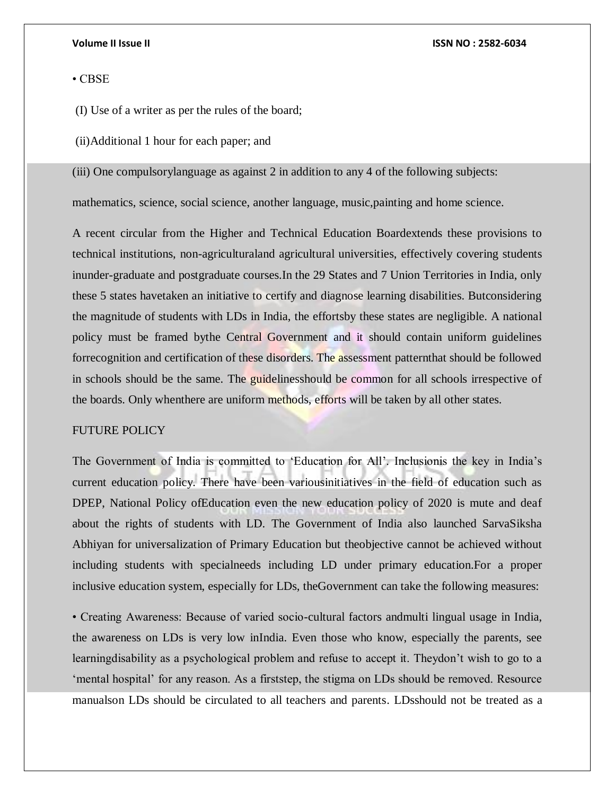#### • CBSE

(I) Use of a writer as per the rules of the board;

(ii)Additional 1 hour for each paper; and

(iii) One compulsorylanguage as against 2 in addition to any 4 of the following subjects:

mathematics, science, social science, another language, music,painting and home science.

A recent circular from the Higher and Technical Education Boardextends these provisions to technical institutions, non-agriculturaland agricultural universities, effectively covering students inunder-graduate and postgraduate courses.In the 29 States and 7 Union Territories in India, only these 5 states havetaken an initiative to certify and diagnose learning disabilities. Butconsidering the magnitude of students with LDs in India, the effortsby these states are negligible. A national policy must be framed bythe Central Government and it should contain uniform guidelines forrecognition and certification of these disorders. The assessment patternthat should be followed in schools should be the same. The guidelinesshould be common for all schools irrespective of the boards. Only whenthere are uniform methods, efforts will be taken by all other states.

### FUTURE POLICY

The Government of India is committed to 'Education for All'. Inclusionis the key in India's current education policy. There have been variousinitiatives in the field of education such as DPEP, National Policy ofEducation even the new education policy of 2020 is mute and deaf about the rights of students with LD. The Government of India also launched SarvaSiksha Abhiyan for universalization of Primary Education but theobjective cannot be achieved without including students with specialneeds including LD under primary education.For a proper inclusive education system, especially for LDs, theGovernment can take the following measures:

• Creating Awareness: Because of varied socio-cultural factors andmulti lingual usage in India, the awareness on LDs is very low inIndia. Even those who know, especially the parents, see learningdisability as a psychological problem and refuse to accept it. Theydon't wish to go to a 'mental hospital' for any reason. As a firststep, the stigma on LDs should be removed. Resource manualson LDs should be circulated to all teachers and parents. LDsshould not be treated as a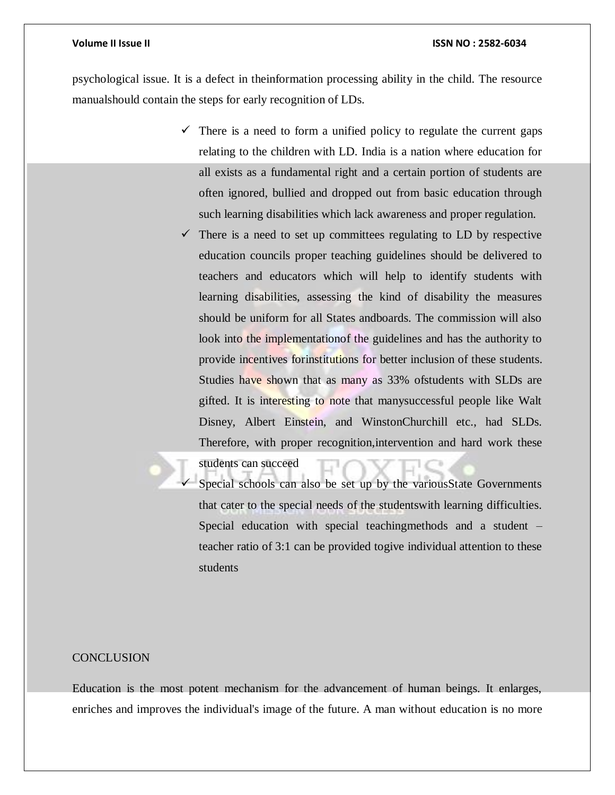psychological issue. It is a defect in theinformation processing ability in the child. The resource manualshould contain the steps for early recognition of LDs.

- $\checkmark$  There is a need to form a unified policy to regulate the current gaps relating to the children with LD. India is a nation where education for all exists as a fundamental right and a certain portion of students are often ignored, bullied and dropped out from basic education through such learning disabilities which lack awareness and proper regulation.
- $\checkmark$  There is a need to set up committees regulating to LD by respective education councils proper teaching guidelines should be delivered to teachers and educators which will help to identify students with learning disabilities, assessing the kind of disability the measures should be uniform for all States andboards. The commission will also look into the implementationof the guidelines and has the authority to provide incentives forinstitutions for better inclusion of these students. Studies have shown that as many as 33% of students with SLDs are gifted. It is interesting to note that manysuccessful people like Walt Disney, Albert Einstein, and WinstonChurchill etc., had SLDs. Therefore, with proper recognition,intervention and hard work these

students can succeed

 Special schools can also be set up by the variousState Governments that cater to the special needs of the studentswith learning difficulties. Special education with special teachingmethods and a student – teacher ratio of 3:1 can be provided togive individual attention to these students

#### **CONCLUSION**

Education is the most potent mechanism for the advancement of human beings. It enlarges, enriches and improves the individual's image of the future. A man without education is no more